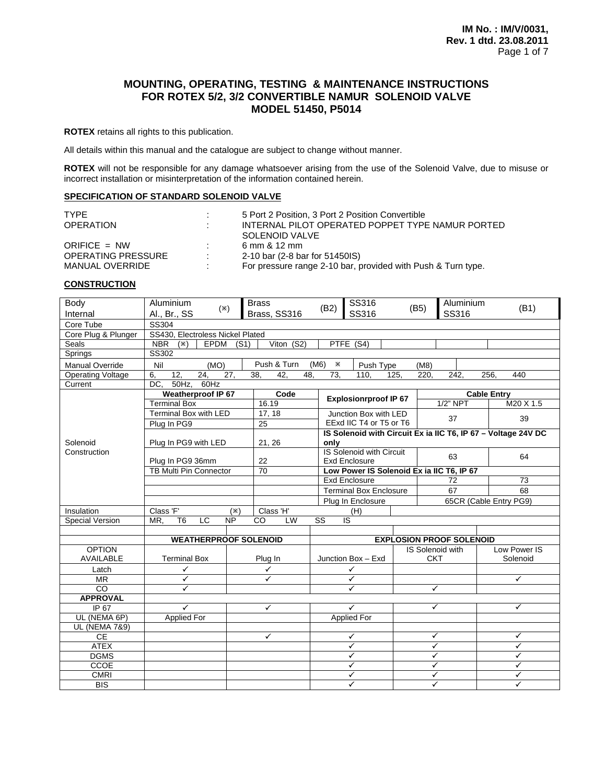# **MOUNTING, OPERATING, TESTING & MAINTENANCE INSTRUCTIONS FOR ROTEX 5/2, 3/2 CONVERTIBLE NAMUR SOLENOID VALVE MODEL 51450, P5014**

**ROTEX** retains all rights to this publication.

All details within this manual and the catalogue are subject to change without manner.

**ROTEX** will not be responsible for any damage whatsoever arising from the use of the Solenoid Valve, due to misuse or incorrect installation or misinterpretation of the information contained herein.

# **SPECIFICATION OF STANDARD SOLENOID VALVE**

| TYPE                      | ÷              | 5 Port 2 Position, 3 Port 2 Position Convertible             |
|---------------------------|----------------|--------------------------------------------------------------|
| <b>OPERATION</b>          | ÷              | INTERNAL PILOT OPERATED POPPET TYPE NAMUR PORTED             |
|                           |                | SOLENOID VALVE                                               |
| ORIFICE $= NW$            | л.             | 6 mm & 12 mm                                                 |
| <b>OPERATING PRESSURE</b> | $\mathbb{R}^n$ | 2-10 bar (2-8 bar for 51450IS)                               |
| MANUAL OVERRIDE           | ٠              | For pressure range 2-10 bar, provided with Push & Turn type. |

#### **CONSTRUCTION**

| Body<br>Internal               | Aluminium<br>Al., Br., SS                         | $(\divideontimes)$ | <b>Brass</b><br>Brass, SS316 | (B2)                   | SS316<br>SS316                                                    | (B5)       |                         | Aluminium<br>SS316              | (B1)                                                          |
|--------------------------------|---------------------------------------------------|--------------------|------------------------------|------------------------|-------------------------------------------------------------------|------------|-------------------------|---------------------------------|---------------------------------------------------------------|
| Core Tube                      | SS304                                             |                    |                              |                        |                                                                   |            |                         |                                 |                                                               |
| Core Plug & Plunger            | SS430, Electroless Nickel Plated                  |                    |                              |                        |                                                                   |            |                         |                                 |                                                               |
| Seals                          | NBR $(X)$<br>EPDM                                 | (S1)               | Viton (S2)                   |                        | PTFE (S4)                                                         |            |                         |                                 |                                                               |
| Springs                        | <b>SS302</b>                                      |                    |                              |                        |                                                                   |            |                         |                                 |                                                               |
| <b>Manual Override</b>         | Nil<br>(MO)                                       |                    | Push & Turn                  | (M6)<br>$\times$       | Push Type                                                         |            | (M8)                    |                                 |                                                               |
| Operating Voltage              | $\overline{12}$<br>$\overline{24}$<br>6,          | 27.                | 38.<br>42.<br>48.            | 73.                    | 110.                                                              | 125.       | 220.                    | 242,                            | 256.<br>440                                                   |
| Current                        | 60Hz<br>DC.<br>$50Hz$ .                           |                    |                              |                        |                                                                   |            |                         |                                 |                                                               |
|                                | <b>Weatherproof IP 67</b>                         |                    | Code                         |                        | <b>Explosionrproof IP 67</b>                                      |            |                         |                                 | <b>Cable Entry</b>                                            |
|                                | <b>Terminal Box</b>                               |                    | 16.19                        |                        |                                                                   |            |                         | $1/2$ " NPT                     | M20 X 1.5                                                     |
|                                | Terminal Box with LED                             |                    | 17, 18                       |                        | Junction Box with LED                                             |            |                         | 37                              | 39                                                            |
|                                | Plug In PG9                                       |                    | 25                           |                        | EExd IIC T4 or T5 or T6                                           |            |                         |                                 |                                                               |
|                                |                                                   |                    |                              |                        |                                                                   |            |                         |                                 | IS Solenoid with Circuit Ex ia IIC T6, IP 67 - Voltage 24V DC |
| Solenoid                       | Plug In PG9 with LED                              |                    | 21, 26                       | only                   |                                                                   |            |                         |                                 |                                                               |
| Construction                   |                                                   |                    |                              |                        | IS Solenoid with Circuit                                          |            |                         | 63                              | 64                                                            |
|                                | Plug In PG9 36mm<br><b>TB Multi Pin Connector</b> |                    | 22<br>70                     |                        | <b>Exd Enclosure</b><br>Low Power IS Solenoid Ex ia IIC T6, IP 67 |            |                         |                                 |                                                               |
|                                |                                                   |                    |                              |                        | <b>Exd Enclosure</b>                                              |            |                         | 72                              | 73                                                            |
|                                |                                                   |                    |                              |                        | <b>Terminal Box Enclosure</b>                                     |            |                         | 67                              | 68                                                            |
|                                |                                                   |                    |                              |                        | Plug In Enclosure                                                 |            |                         |                                 | 65CR (Cable Entry PG9)                                        |
| Insulation                     | Class 'F'                                         | $(\divideontimes)$ | Class 'H'                    |                        | (H)                                                               |            |                         |                                 |                                                               |
| Special Version                | LC<br>MR,<br>T <sub>6</sub>                       | $\overline{NP}$    | $\overline{c}$<br>LW         | $\overline{\text{ss}}$ | $\overline{S}$                                                    |            |                         |                                 |                                                               |
|                                |                                                   |                    |                              |                        |                                                                   |            |                         |                                 |                                                               |
|                                | <b>WEATHERPROOF SOLENOID</b>                      |                    |                              |                        |                                                                   |            |                         | <b>EXPLOSION PROOF SOLENOID</b> |                                                               |
| <b>OPTION</b>                  |                                                   |                    |                              |                        |                                                                   |            |                         | IS Solenoid with                | Low Power IS                                                  |
| <b>AVAILABLE</b>               | <b>Terminal Box</b>                               | Plug In            |                              |                        | Junction Box - Exd                                                | <b>CKT</b> |                         |                                 | Solenoid                                                      |
| Latch                          | $\checkmark$                                      |                    | ✓                            |                        | ✓                                                                 |            |                         |                                 |                                                               |
| $\overline{\text{MR}}$         | $\checkmark$                                      |                    | ✓                            |                        | $\overline{\checkmark}$                                           |            |                         |                                 | ✓                                                             |
| $\overline{c}$                 | $\overline{\checkmark}$                           |                    |                              |                        | $\checkmark$                                                      |            | $\checkmark$            |                                 |                                                               |
| <b>APPROVAL</b>                |                                                   |                    |                              |                        |                                                                   |            | ✓                       |                                 | ✓                                                             |
| IP 67                          | $\checkmark$                                      |                    | ✓                            |                        | $\checkmark$                                                      |            |                         |                                 |                                                               |
| UL (NEMA 6P)                   | <b>Applied For</b>                                |                    |                              |                        | <b>Applied For</b>                                                |            |                         |                                 |                                                               |
| <b>UL (NEMA 7&amp;9)</b><br>CE |                                                   |                    | ✓                            |                        | $\checkmark$                                                      |            | ✓                       |                                 | $\checkmark$                                                  |
| <b>ATEX</b>                    |                                                   |                    |                              |                        | ✓                                                                 |            | ✓                       |                                 | ✓                                                             |
| <b>DGMS</b>                    |                                                   |                    |                              |                        | ✓                                                                 |            | ✓                       |                                 | ✓                                                             |
| CCOE                           |                                                   |                    |                              |                        | ✓                                                                 |            | $\overline{\checkmark}$ |                                 | ✓                                                             |
| <b>CMRI</b>                    |                                                   |                    |                              |                        | ✓                                                                 |            | ✓                       |                                 | ✓                                                             |
| <b>BIS</b>                     |                                                   |                    |                              |                        | ✓                                                                 |            | ✓                       |                                 | ✓                                                             |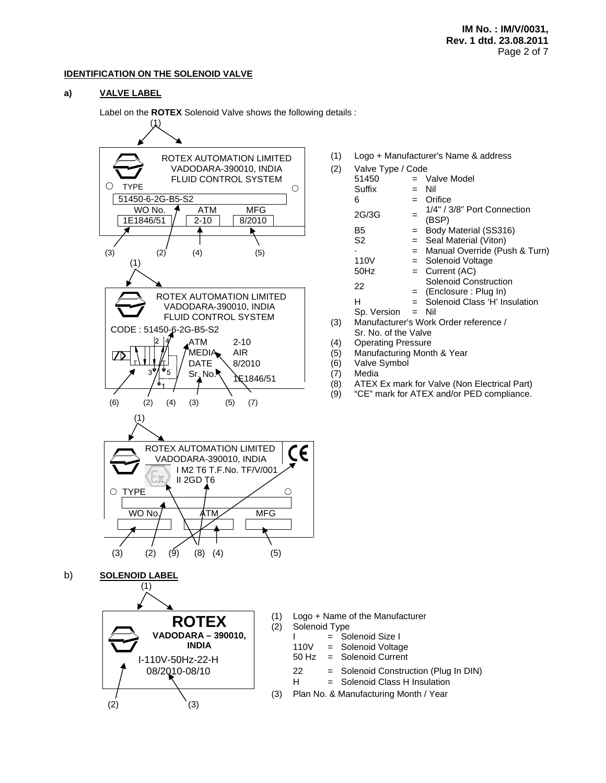#### **IDENTIFICATION ON THE SOLENOID VALVE**

## **a) VALVE LABEL**

Label on the **ROTEX** Solenoid Valve shows the following details :



(1) Logo + Manufacturer's Name & address

| (2) | Valve Type / Code    |     |                                       |  |  |  |  |
|-----|----------------------|-----|---------------------------------------|--|--|--|--|
|     | 51450                |     | $=$ Valve Model                       |  |  |  |  |
|     | Suffix               |     | Nil                                   |  |  |  |  |
|     | 6                    |     | Orifice                               |  |  |  |  |
|     | 2G/3G                |     | 1/4" / 3/8" Port Connection<br>(BSP)  |  |  |  |  |
|     | В5                   |     | Body Material (SS316)                 |  |  |  |  |
|     | S2                   |     | = Seal Material (Viton)               |  |  |  |  |
|     |                      | $=$ | Manual Override (Push & Turn)         |  |  |  |  |
|     | 110V                 | $=$ | Solenoid Voltage                      |  |  |  |  |
|     | 50Hz                 |     | $=$ Current (AC)                      |  |  |  |  |
|     | 22                   |     | <b>Solenoid Construction</b>          |  |  |  |  |
|     |                      |     | $=$ (Enclosure : Plug In)             |  |  |  |  |
|     | н                    |     | $=$ Solenoid Class 'H' Insulation     |  |  |  |  |
|     | $Sp. Version = Nil$  |     |                                       |  |  |  |  |
| (3) |                      |     | Manufacturer's Work Order reference / |  |  |  |  |
|     | Sr. No. of the Valve |     |                                       |  |  |  |  |

- 
- (4) Operating Pressure<br>(5) Manufacturing Mont Manufacturing Month & Year
- (6) Valve Symbol
- (7) Media
- (8) ATEX Ex mark for Valve (Non Electrical Part)
- (9) "CE" mark for ATEX and/or PED compliance.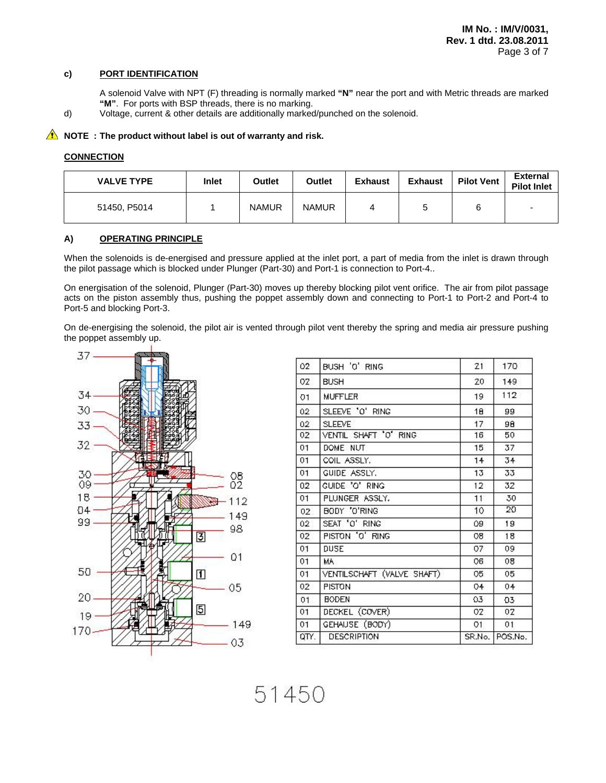## **c) PORT IDENTIFICATION**

- A solenoid Valve with NPT (F) threading is normally marked **"N"** near the port and with Metric threads are marked **"M"**. For ports with BSP threads, there is no marking.
- d) Voltage, current & other details are additionally marked/punched on the solenoid.

## **A** NOTE : The product without label is out of warranty and risk.

#### **CONNECTION**

| <b>VALVE TYPE</b> | Inlet | Outlet       | Outlet       | <b>Exhaust</b> | <b>Exhaust</b> | <b>Pilot Vent</b> | <b>External</b><br><b>Pilot Inlet</b> |
|-------------------|-------|--------------|--------------|----------------|----------------|-------------------|---------------------------------------|
| 51450, P5014      |       | <b>NAMUR</b> | <b>NAMUR</b> | 4              |                |                   |                                       |

# **A) OPERATING PRINCIPLE**

When the solenoids is de-energised and pressure applied at the inlet port, a part of media from the inlet is drawn through the pilot passage which is blocked under Plunger (Part-30) and Port-1 is connection to Port-4..

On energisation of the solenoid, Plunger (Part-30) moves up thereby blocking pilot vent orifice. The air from pilot passage acts on the piston assembly thus, pushing the poppet assembly down and connecting to Port-1 to Port-2 and Port-4 to Port-5 and blocking Port-3.

On de-energising the solenoid, the pilot air is vented through pilot vent thereby the spring and media air pressure pushing the poppet assembly up.



| 02              | BUSH 'O' RING              | 21     | 170     |
|-----------------|----------------------------|--------|---------|
| OZ              | <b>BUSH</b>                | 20     | 149     |
| 01              | <b>MUFFLER</b>             | 19     | 112     |
| 02              | SLEEVE 'O' RING            | 18     | 99      |
| 02 <sub>2</sub> | <b>SLEEVE</b>              | 17     | 98      |
| 02              | VENTIL SHAFT 'O' RING      | 16     | 50      |
| 01              | DOME NUT.                  | 15     | 37      |
| 01              | COIL ASSLY.                | 14     | 34      |
| 01              | GUIDE ASSLY.               | 13     | 33      |
| 02              | CUIDE 'O' RING             | 12     | 32      |
| 01              | PLUNGER ASSLY.             | 11     | 30      |
| 02              | BODY 'O'RING               | 10     | 20      |
| 02              | SEAT 'O' RING              | 09     | 19      |
| 02              | PISTON 'O' RING            | 08     | 18      |
| 01              | DUSE                       | 07     | 09      |
| 01              | MA.                        | O6     | 08      |
| 01              | VENTILSCHAFT (VALVE SHAFT) | 05     | 05      |
| 02              | <b>PISTON</b>              | 04     | 04      |
| 01              | <b>BODEN</b>               | 03     | 03      |
| 01              | DECKEL (COVER)             | 02     | 02      |
| 01              | GEHAUSE (BODY)             | O1     | 01      |
| QTY.            | <b>DESCRIPTION</b>         | SR.No. | POS.No. |

51450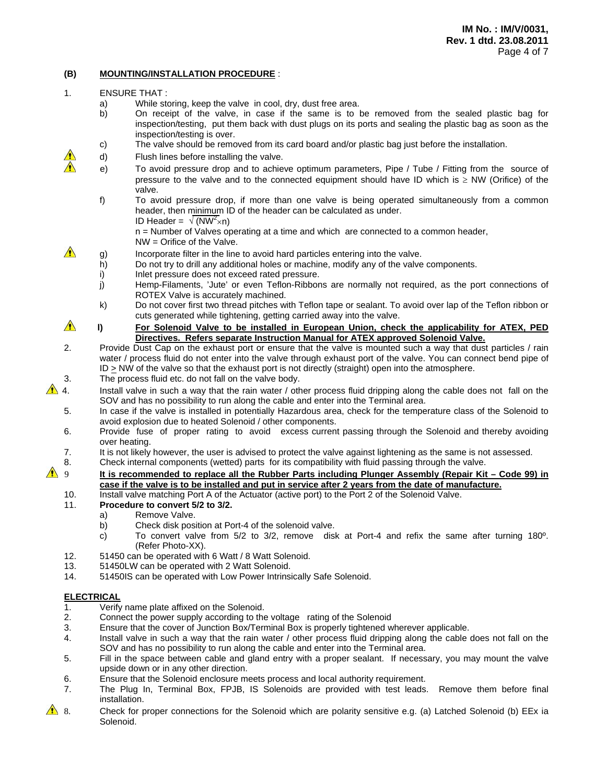# **(B) MOUNTING/INSTALLATION PROCEDURE** :

- 1. ENSURE THAT :
	- a) While storing, keep the valve in cool, dry, dust free area.
	- b) On receipt of the valve, in case if the same is to be removed from the sealed plastic bag for inspection/testing, put them back with dust plugs on its ports and sealing the plastic bag as soon as the inspection/testing is over.
	- c) The valve should be removed from its card board and/or plastic bag just before the installation.
	- d) Flush lines before installing the valve.
	- e) To avoid pressure drop and to achieve optimum parameters, Pipe / Tube / Fitting from the source of pressure to the valve and to the connected equipment should have ID which is  $\geq$  NW (Orifice) of the valve.
		- f) To avoid pressure drop, if more than one valve is being operated simultaneously from a common header, then minimum ID of the header can be calculated as under. ID Header =  $\sqrt{(NW^2 \times n)}$

 n = Number of Valves operating at a time and which are connected to a common header, NW = Orifice of the Valve.

- $\triangle$  g) Incorporate filter in the line to avoid hard particles entering into the valve.
	- h) Do not try to drill any additional holes or machine, modify any of the valve components.
		- i) Inlet pressure does not exceed rated pressure.
		- j) Hemp-Filaments, 'Jute' or even Teflon-Ribbons are normally not required, as the port connections of ROTEX Valve is accurately machined.
		- k) Do not cover first two thread pitches with Teflon tape or sealant. To avoid over lap of the Teflon ribbon or cuts generated while tightening, getting carried away into the valve.
- **l)** For Solenoid Valve to be installed in European Union, check the applicability for ATEX, PED **Directives. Refers separate Instruction Manual for ATEX approved Solenoid Valve.**
- 2. Provide Dust Cap on the exhaust port or ensure that the valve is mounted such a way that dust particles / rain water / process fluid do not enter into the valve through exhaust port of the valve. You can connect bend pipe of ID > NW of the valve so that the exhaust port is not directly (straight) open into the atmosphere.
- 3. The process fluid etc. do not fall on the valve body.

 4. Install valve in such a way that the rain water / other process fluid dripping along the cable does not fall on the SOV and has no possibility to run along the cable and enter into the Terminal area.

- 5. In case if the valve is installed in potentially Hazardous area, check for the temperature class of the Solenoid to avoid explosion due to heated Solenoid / other components.
- 6. Provide fuse of proper rating to avoid excess current passing through the Solenoid and thereby avoiding over heating.
- 7. It is not likely however, the user is advised to protect the valve against lightening as the same is not assessed.
- 8. Check internal components (wetted) parts for its compatibility with fluid passing through the valve.

## **1** 9 It is recommended to replace all the Rubber Parts including Plunger Assembly (Repair Kit – Code 99) in **case if the valve is to be installed and put in service after 2 years from the date of manufacture.**

- 10. Install valve matching Port A of the Actuator (active port) to the Port 2 of the Solenoid Valve.
- 11. **Procedure to convert 5/2 to 3/2.** 
	- a) Remove Valve.
	- b) Check disk position at Port-4 of the solenoid valve.
	- c) To convert valve from 5/2 to 3/2, remove disk at Port-4 and refix the same after turning 180º. (Refer Photo-XX).
- 12. 51450 can be operated with 6 Watt / 8 Watt Solenoid.
- 13. 51450LW can be operated with 2 Watt Solenoid.
- 14. 51450IS can be operated with Low Power Intrinsically Safe Solenoid.

## **ELECTRICAL**

- 1. Verify name plate affixed on the Solenoid.
- 2. Connect the power supply according to the voltage rating of the Solenoid
- 3. Ensure that the cover of Junction Box/Terminal Box is properly tightened wherever applicable.
- 4. Install valve in such a way that the rain water / other process fluid dripping along the cable does not fall on the SOV and has no possibility to run along the cable and enter into the Terminal area.
- 5. Fill in the space between cable and gland entry with a proper sealant. If necessary, you may mount the valve upside down or in any other direction.
- 6. Ensure that the Solenoid enclosure meets process and local authority requirement.
- 7. The Plug In, Terminal Box, FPJB, IS Solenoids are provided with test leads. Remove them before final installation.
- 8. Check for proper connections for the Solenoid which are polarity sensitive e.g. (a) Latched Solenoid (b) EEx ia Solenoid.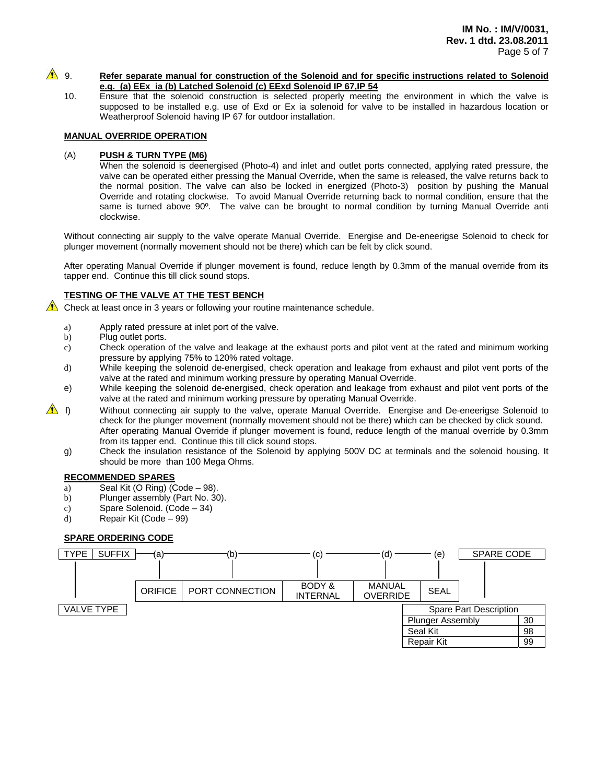## **A** 9. Refer separate manual for construction of the Solenoid and for specific instructions related to Solenoid **e.g. (a) EEx ia (b) Latched Solenoid (c) EExd Solenoid IP 67,IP 54**

10. Ensure that the solenoid construction is selected properly meeting the environment in which the valve is supposed to be installed e.g. use of Exd or Ex ia solenoid for valve to be installed in hazardous location or Weatherproof Solenoid having IP 67 for outdoor installation.

# **MANUAL OVERRIDE OPERATION**

## (A) **PUSH & TURN TYPE (M6)**

When the solenoid is deenergised (Photo-4) and inlet and outlet ports connected, applying rated pressure, the valve can be operated either pressing the Manual Override, when the same is released, the valve returns back to the normal position. The valve can also be locked in energized (Photo-3) position by pushing the Manual Override and rotating clockwise. To avoid Manual Override returning back to normal condition, ensure that the same is turned above 90°. The valve can be brought to normal condition by turning Manual Override anti clockwise.

Without connecting air supply to the valve operate Manual Override. Energise and De-eneerigse Solenoid to check for plunger movement (normally movement should not be there) which can be felt by click sound.

After operating Manual Override if plunger movement is found, reduce length by 0.3mm of the manual override from its tapper end. Continue this till click sound stops.

#### **TESTING OF THE VALVE AT THE TEST BENCH**

 $\triangle$  Check at least once in 3 years or following your routine maintenance schedule.

- a) Apply rated pressure at inlet port of the valve.
- b) Plug outlet ports.
- c) Check operation of the valve and leakage at the exhaust ports and pilot vent at the rated and minimum working pressure by applying 75% to 120% rated voltage.
- d) While keeping the solenoid de-energised, check operation and leakage from exhaust and pilot vent ports of the valve at the rated and minimum working pressure by operating Manual Override.
- e) While keeping the solenoid de-energised, check operation and leakage from exhaust and pilot vent ports of the valve at the rated and minimum working pressure by operating Manual Override.
- **f**) Without connecting air supply to the valve, operate Manual Override. Energise and De-eneerigse Solenoid to check for the plunger movement (normally movement should not be there) which can be checked by click sound. After operating Manual Override if plunger movement is found, reduce length of the manual override by 0.3mm from its tapper end. Continue this till click sound stops.
	- g) Check the insulation resistance of the Solenoid by applying 500V DC at terminals and the solenoid housing. It should be more than 100 Mega Ohms.

#### **RECOMMENDED SPARES**

- a) Seal Kit (O Ring) (Code  $-98$ ).
- b) Plunger assembly (Part No. 30).
- c) Spare Solenoid. (Code 34)
- d) Repair Kit (Code 99)

## **SPARE ORDERING CODE**

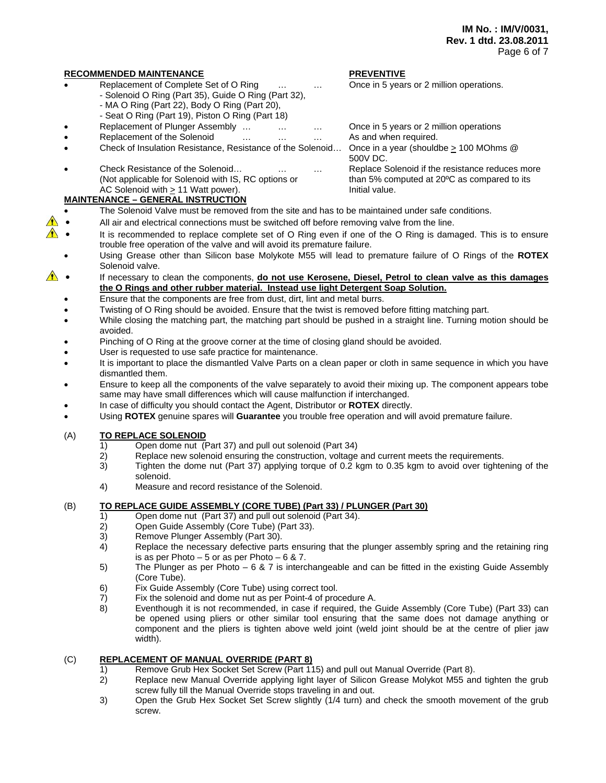#### **RECOMMENDED MAINTENANCE PREVENTIVE**

- Replacement of Complete Set of O Ring … … … Once in 5 years or 2 million operations.
	- Solenoid O Ring (Part 35), Guide O Ring (Part 32),
	- MA O Ring (Part 22), Body O Ring (Part 20),
	- Seat O Ring (Part 19), Piston O Ring (Part 18)
	- Replacement of Plunger Assembly … … … Once in 5 years or 2 million operations
- Replacement of the Solenoid … … … … As and when required.
- Check of Insulation Resistance, Resistance of the Solenoid… Once in a year (shouldbe > 100 MOhms @
- Check Resistance of the Solenoid… … … Replace Solenoid if the resistance reduces more (Not applicable for Solenoid with IS, RC options or than 5% computed at 20ºC as compared to its AC Solenoid with  $\geq 11$  Watt power). Initial value.

# **MAINTENANCE – GENERAL INSTRUCTION**

- The Solenoid Valve must be removed from the site and has to be maintained under safe conditions.
- All air and electrical connections must be switched off before removing valve from the line.
- It is recommended to replace complete set of O Ring even if one of the O Ring is damaged. This is to ensure trouble free operation of the valve and will avoid its premature failure.
	- Using Grease other than Silicon base Molykote M55 will lead to premature failure of O Rings of the **ROTEX** Solenoid valve.
- If necessary to clean the components, **do not use Kerosene, Diesel, Petrol to clean valve as this damages the O Rings and other rubber material. Instead use light Detergent Soap Solution.** 
	- Ensure that the components are free from dust, dirt, lint and metal burrs.
	- Twisting of O Ring should be avoided. Ensure that the twist is removed before fitting matching part.
	- While closing the matching part, the matching part should be pushed in a straight line. Turning motion should be avoided.
	- Pinching of O Ring at the groove corner at the time of closing gland should be avoided.
	- User is requested to use safe practice for maintenance.
	- It is important to place the dismantled Valve Parts on a clean paper or cloth in same sequence in which you have dismantled them.
	- Ensure to keep all the components of the valve separately to avoid their mixing up. The component appears tobe same may have small differences which will cause malfunction if interchanged.
	- In case of difficulty you should contact the Agent, Distributor or **ROTEX** directly.
	- Using **ROTEX** genuine spares will **Guarantee** you trouble free operation and will avoid premature failure.

#### (A) **TO REPLACE SOLENOID**

- 1) Open dome nut (Part 37) and pull out solenoid (Part 34)<br>2) Replace new solenoid ensuring the construction, voltage
- Replace new solenoid ensuring the construction, voltage and current meets the requirements.
- 3) Tighten the dome nut (Part 37) applying torque of 0.2 kgm to 0.35 kgm to avoid over tightening of the solenoid.
- 4) Measure and record resistance of the Solenoid.

## (B) **TO REPLACE GUIDE ASSEMBLY (CORE TUBE) (Part 33) / PLUNGER (Part 30)**

- 1) Open dome nut (Part 37) and pull out solenoid (Part 34).
- 2) Open Guide Assembly (Core Tube) (Part 33).
- 3) Remove Plunger Assembly (Part 30).
- 4) Replace the necessary defective parts ensuring that the plunger assembly spring and the retaining ring is as per Photo  $-5$  or as per Photo  $-6$  & 7.
- 5) The Plunger as per Photo 6 & 7 is interchangeable and can be fitted in the existing Guide Assembly (Core Tube).
- 6) Fix Guide Assembly (Core Tube) using correct tool.
- 7) Fix the solenoid and dome nut as per Point-4 of procedure A.
- 8) Eventhough it is not recommended, in case if required, the Guide Assembly (Core Tube) (Part 33) can be opened using pliers or other similar tool ensuring that the same does not damage anything or component and the pliers is tighten above weld joint (weld joint should be at the centre of plier jaw width).

#### (C) **REPLACEMENT OF MANUAL OVERRIDE (PART 8)**

- 1) Remove Grub Hex Socket Set Screw (Part 115) and pull out Manual Override (Part 8).<br>2) Replace new Manual Override applying light layer of Silicon Grease Molykot M55 an
- Replace new Manual Override applying light layer of Silicon Grease Molykot M55 and tighten the grub screw fully till the Manual Override stops traveling in and out.
- 3) Open the Grub Hex Socket Set Screw slightly (1/4 turn) and check the smooth movement of the grub screw.

500V DC.